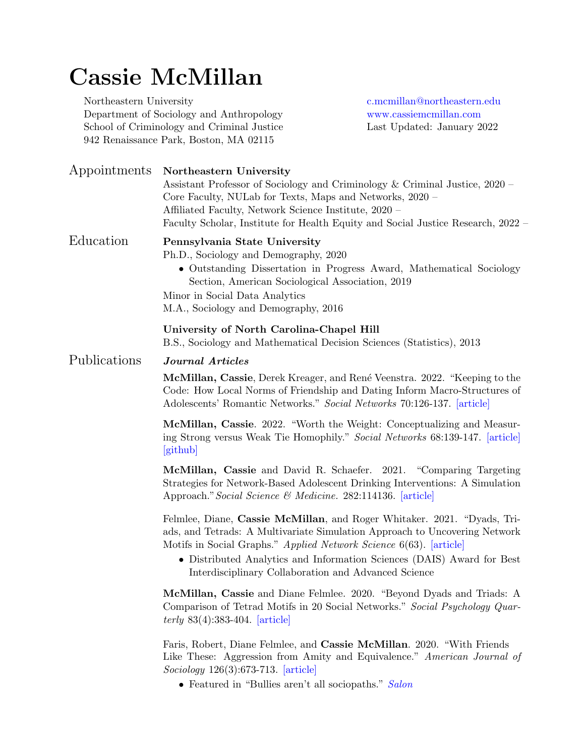# Cassie McMillan

Northeastern University [c.mcmillan@northeastern.edu](mailto:mcmillan@psu.edu) Department of Sociology and Anthropology <www.cassiemcmillan.com> School of Criminology and Criminal Justice Last Updated: January 2022 942 Renaissance Park, Boston, MA 02115

Appointments Northeastern University Assistant Professor of Sociology and Criminology & Criminal Justice, 2020 – Core Faculty, NULab for Texts, Maps and Networks, 2020 – Affiliated Faculty, Network Science Institute, 2020 – Faculty Scholar, Institute for Health Equity and Social Justice Research, 2022 – Education Pennsylvania State University Ph.D., Sociology and Demography, 2020 • Outstanding Dissertation in Progress Award, Mathematical Sociology Section, American Sociological Association, 2019 Minor in Social Data Analytics M.A., Sociology and Demography, 2016 University of North Carolina-Chapel Hill B.S., Sociology and Mathematical Decision Sciences (Statistics), 2013 Publications Journal Articles McMillan, Cassie, Derek Kreager, and René Veenstra. 2022. "Keeping to the Code: How Local Norms of Friendship and Dating Inform Macro-Structures of Adolescents' Romantic Networks." Social Networks 70:126-137. [\[article\]](https://www.sciencedirect.com/science/article/pii/S037887332100109X) McMillan, Cassie. 2022. "Worth the Weight: Conceptualizing and Measuring Strong versus Weak Tie Homophily." Social Networks 68:139-147. [\[article\]](https://www.sciencedirect.com/science/article/pii/S0378873321000496) [\[github\]](https://github.com/cassiemcmillan/Worth-the-Weight) McMillan, Cassie and David R. Schaefer. 2021. "Comparing Targeting Strategies for Network-Based Adolescent Drinking Interventions: A Simulation Approach." Social Science & Medicine. 282:114136. [\[article\]](https://www.sciencedirect.com/science/article/pii/S0277953621004688) Felmlee, Diane, Cassie McMillan, and Roger Whitaker. 2021. "Dyads, Triads, and Tetrads: A Multivariate Simulation Approach to Uncovering Network Motifs in Social Graphs." Applied Network Science 6(63). [\[article\]](https://appliednetsci.springeropen.com/articles/10.1007/s41109-021-00403-5) • Distributed Analytics and Information Sciences (DAIS) Award for Best Interdisciplinary Collaboration and Advanced Science McMillan, Cassie and Diane Felmlee. 2020. "Beyond Dyads and Triads: A Comparison of Tetrad Motifs in 20 Social Networks." Social Psychology Quarterly 83(4):383-404. [\[article\]](https://journals.sagepub.com/doi/abs/10.1177/0190272520944151) Faris, Robert, Diane Felmlee, and Cassie McMillan. 2020. "With Friends Like These: Aggression from Amity and Equivalence." American Journal of Sociology 126(3):673-713. [\[article\]](https://www.journals.uchicago.edu/doi/full/10.1086/712972) • Featured in "Bullies aren't all sociopaths." [Salon](https://www.salon.com/2021/02/23/bullies-arent-all-sociopaths--most-are-just-trying-to-climb-the-social-ladder-study-says/)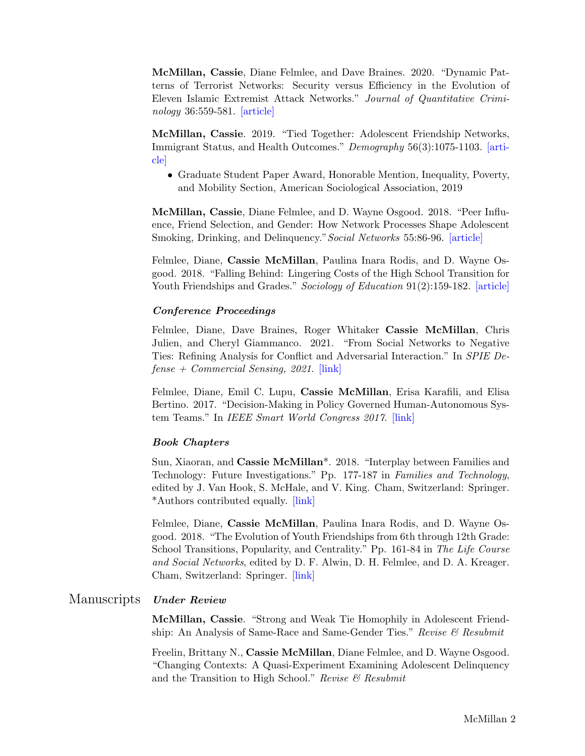McMillan, Cassie, Diane Felmlee, and Dave Braines. 2020. "Dynamic Patterns of Terrorist Networks: Security versus Efficiency in the Evolution of Eleven Islamic Extremist Attack Networks." Journal of Quantitative Criminology 36:559-581. [\[article\]](https://link.springer.com/article/10.1007/s10940-019-09426-9)

McMillan, Cassie. 2019. "Tied Together: Adolescent Friendship Networks, Immigrant Status, and Health Outcomes." Demography 56(3):1075-1103. [\[arti](https://link.springer.com/article/10.1007/s13524-019-00770-w)[cle\]](https://link.springer.com/article/10.1007/s13524-019-00770-w)

• Graduate Student Paper Award, Honorable Mention, Inequality, Poverty, and Mobility Section, American Sociological Association, 2019

McMillan, Cassie, Diane Felmlee, and D. Wayne Osgood. 2018. "Peer Influence, Friend Selection, and Gender: How Network Processes Shape Adolescent Smoking, Drinking, and Delinquency." Social Networks 55:86-96. [\[article\]](https://www.sciencedirect.com/science/article/pii/S037887331730494X)

Felmlee, Diane, Cassie McMillan, Paulina Inara Rodis, and D. Wayne Osgood. 2018. "Falling Behind: Lingering Costs of the High School Transition for Youth Friendships and Grades." Sociology of Education 91(2):159-182. [\[article\]](https://journals.sagepub.com/doi/abs/10.1177/0038040718762136)

### Conference Proceedings

Felmlee, Diane, Dave Braines, Roger Whitaker Cassie McMillan, Chris Julien, and Cheryl Giammanco. 2021. "From Social Networks to Negative Ties: Refining Analysis for Conflict and Adversarial Interaction." In SPIE De $fense + Commercial Sensing, 2021.$  [\[link\]](https://www.spiedigitallibrary.org/conference-proceedings-of-spie/11746/117461Y/From-social-networks-to-negative-ties--refining-analysis-for/10.1117/12.2587501.full?SSO=1)

Felmlee, Diane, Emil C. Lupu, Cassie McMillan, Erisa Karafili, and Elisa Bertino. 2017. "Decision-Making in Policy Governed Human-Autonomous System Teams." In IEEE Smart World Congress 2017. [\[link\]](https://ieeexplore.ieee.org/abstract/document/8397419)

#### Book Chapters

Sun, Xiaoran, and Cassie McMillan<sup>\*</sup>. 2018. "Interplay between Families and Technology: Future Investigations." Pp. 177-187 in Families and Technology, edited by J. Van Hook, S. McHale, and V. King. Cham, Switzerland: Springer. \*Authors contributed equally. [\[link\]](https://link.springer.com/chapter/10.1007/978-3-319-95540-7_10)

Felmlee, Diane, Cassie McMillan, Paulina Inara Rodis, and D. Wayne Osgood. 2018. "The Evolution of Youth Friendships from 6th through 12th Grade: School Transitions, Popularity, and Centrality." Pp. 161-84 in The Life Course and Social Networks, edited by D. F. Alwin, D. H. Felmlee, and D. A. Kreager. Cham, Switzerland: Springer. [\[link\]](https://link.springer.com/chapter/10.1007/978-3-319-71544-5_8)

#### Manuscripts Under Review

McMillan, Cassie. "Strong and Weak Tie Homophily in Adolescent Friendship: An Analysis of Same-Race and Same-Gender Ties." Revise  $\mathcal{B}$  Resubmit

Freelin, Brittany N., Cassie McMillan, Diane Felmlee, and D. Wayne Osgood. "Changing Contexts: A Quasi-Experiment Examining Adolescent Delinquency and the Transition to High School." Revise  $\mathcal B$  Resubmit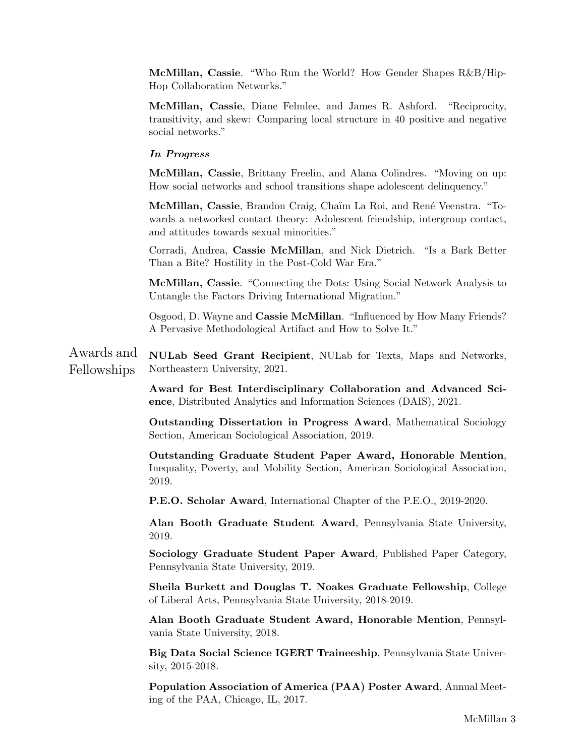McMillan, Cassie. "Who Run the World? How Gender Shapes R&B/Hip-Hop Collaboration Networks."

McMillan, Cassie, Diane Felmlee, and James R. Ashford. "Reciprocity, transitivity, and skew: Comparing local structure in 40 positive and negative social networks."

#### In Progress

McMillan, Cassie, Brittany Freelin, and Alana Colindres. "Moving on up: How social networks and school transitions shape adolescent delinquency."

McMillan, Cassie, Brandon Craig, Chaïm La Roi, and René Veenstra. "Towards a networked contact theory: Adolescent friendship, intergroup contact, and attitudes towards sexual minorities."

Corradi, Andrea, Cassie McMillan, and Nick Dietrich. "Is a Bark Better Than a Bite? Hostility in the Post-Cold War Era."

McMillan, Cassie. "Connecting the Dots: Using Social Network Analysis to Untangle the Factors Driving International Migration."

Osgood, D. Wayne and Cassie McMillan. "Influenced by How Many Friends? A Pervasive Methodological Artifact and How to Solve It."

Awards and Fellowships NULab Seed Grant Recipient, NULab for Texts, Maps and Networks, Northeastern University, 2021.

> Award for Best Interdisciplinary Collaboration and Advanced Science, Distributed Analytics and Information Sciences (DAIS), 2021.

> Outstanding Dissertation in Progress Award, Mathematical Sociology Section, American Sociological Association, 2019.

> Outstanding Graduate Student Paper Award, Honorable Mention, Inequality, Poverty, and Mobility Section, American Sociological Association, 2019.

P.E.O. Scholar Award, International Chapter of the P.E.O., 2019-2020.

Alan Booth Graduate Student Award, Pennsylvania State University, 2019.

Sociology Graduate Student Paper Award, Published Paper Category, Pennsylvania State University, 2019.

Sheila Burkett and Douglas T. Noakes Graduate Fellowship, College of Liberal Arts, Pennsylvania State University, 2018-2019.

Alan Booth Graduate Student Award, Honorable Mention, Pennsylvania State University, 2018.

Big Data Social Science IGERT Traineeship, Pennsylvania State University, 2015-2018.

Population Association of America (PAA) Poster Award, Annual Meeting of the PAA, Chicago, IL, 2017.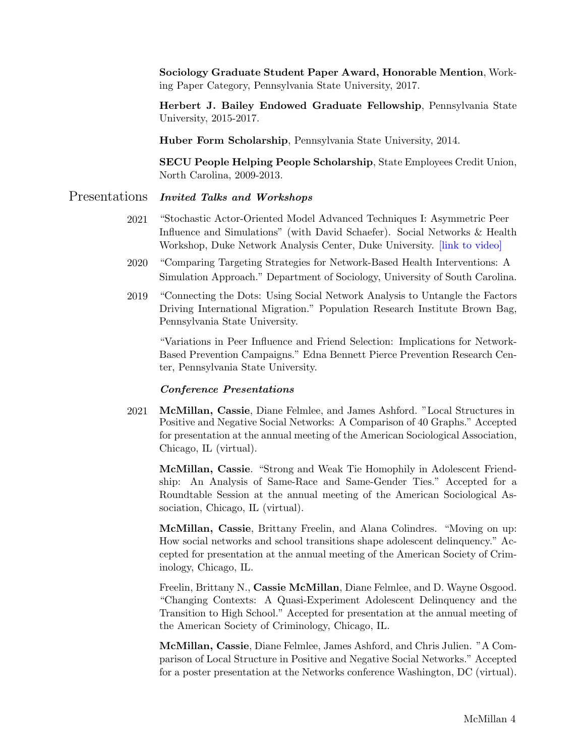Sociology Graduate Student Paper Award, Honorable Mention, Working Paper Category, Pennsylvania State University, 2017.

Herbert J. Bailey Endowed Graduate Fellowship, Pennsylvania State University, 2015-2017.

Huber Form Scholarship, Pennsylvania State University, 2014.

SECU People Helping People Scholarship, State Employees Credit Union, North Carolina, 2009-2013.

## Presentations Invited Talks and Workshops

- 2021 "Stochastic Actor-Oriented Model Advanced Techniques I: Asymmetric Peer Influence and Simulations" (with David Schaefer). Social Networks & Health Workshop, Duke Network Analysis Center, Duke University. [\[link to video\]](https://www.youtube.com/watch?v=zZJrFFFS_HA)
- 2020 "Comparing Targeting Strategies for Network-Based Health Interventions: A Simulation Approach." Department of Sociology, University of South Carolina.
- 2019 "Connecting the Dots: Using Social Network Analysis to Untangle the Factors Driving International Migration." Population Research Institute Brown Bag, Pennsylvania State University.

"Variations in Peer Influence and Friend Selection: Implications for Network-Based Prevention Campaigns." Edna Bennett Pierce Prevention Research Center, Pennsylvania State University.

#### Conference Presentations

2021 McMillan, Cassie, Diane Felmlee, and James Ashford. "Local Structures in Positive and Negative Social Networks: A Comparison of 40 Graphs." Accepted for presentation at the annual meeting of the American Sociological Association, Chicago, IL (virtual).

McMillan, Cassie. "Strong and Weak Tie Homophily in Adolescent Friendship: An Analysis of Same-Race and Same-Gender Ties." Accepted for a Roundtable Session at the annual meeting of the American Sociological Association, Chicago, IL (virtual).

McMillan, Cassie, Brittany Freelin, and Alana Colindres. "Moving on up: How social networks and school transitions shape adolescent delinquency." Accepted for presentation at the annual meeting of the American Society of Criminology, Chicago, IL.

Freelin, Brittany N., Cassie McMillan, Diane Felmlee, and D. Wayne Osgood. "Changing Contexts: A Quasi-Experiment Adolescent Delinquency and the Transition to High School." Accepted for presentation at the annual meeting of the American Society of Criminology, Chicago, IL.

McMillan, Cassie, Diane Felmlee, James Ashford, and Chris Julien. "A Comparison of Local Structure in Positive and Negative Social Networks." Accepted for a poster presentation at the Networks conference Washington, DC (virtual).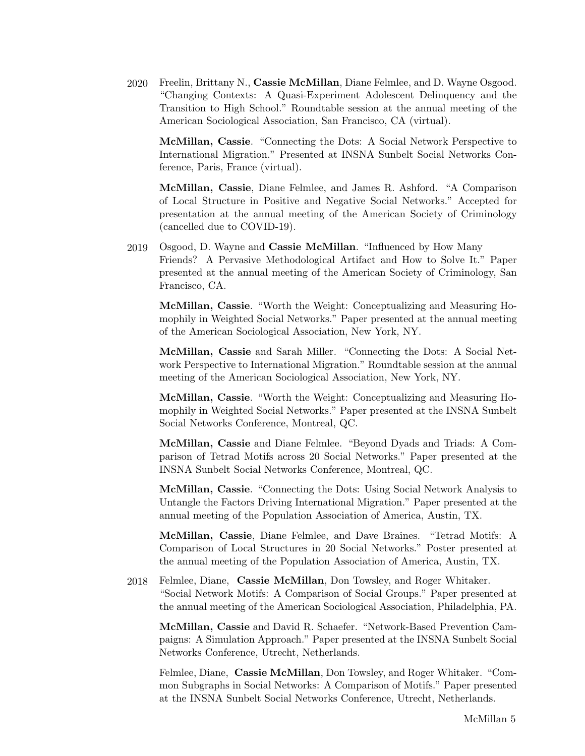2020 Freelin, Brittany N., Cassie McMillan, Diane Felmlee, and D. Wayne Osgood. "Changing Contexts: A Quasi-Experiment Adolescent Delinquency and the Transition to High School." Roundtable session at the annual meeting of the American Sociological Association, San Francisco, CA (virtual).

McMillan, Cassie. "Connecting the Dots: A Social Network Perspective to International Migration." Presented at INSNA Sunbelt Social Networks Conference, Paris, France (virtual).

McMillan, Cassie, Diane Felmlee, and James R. Ashford. "A Comparison of Local Structure in Positive and Negative Social Networks." Accepted for presentation at the annual meeting of the American Society of Criminology (cancelled due to COVID-19).

2019 Osgood, D. Wayne and Cassie McMillan. "Influenced by How Many Friends? A Pervasive Methodological Artifact and How to Solve It." Paper presented at the annual meeting of the American Society of Criminology, San Francisco, CA.

McMillan, Cassie. "Worth the Weight: Conceptualizing and Measuring Homophily in Weighted Social Networks." Paper presented at the annual meeting of the American Sociological Association, New York, NY.

McMillan, Cassie and Sarah Miller. "Connecting the Dots: A Social Network Perspective to International Migration." Roundtable session at the annual meeting of the American Sociological Association, New York, NY.

McMillan, Cassie. "Worth the Weight: Conceptualizing and Measuring Homophily in Weighted Social Networks." Paper presented at the INSNA Sunbelt Social Networks Conference, Montreal, QC.

McMillan, Cassie and Diane Felmlee. "Beyond Dyads and Triads: A Comparison of Tetrad Motifs across 20 Social Networks." Paper presented at the INSNA Sunbelt Social Networks Conference, Montreal, QC.

McMillan, Cassie. "Connecting the Dots: Using Social Network Analysis to Untangle the Factors Driving International Migration." Paper presented at the annual meeting of the Population Association of America, Austin, TX.

McMillan, Cassie, Diane Felmlee, and Dave Braines. "Tetrad Motifs: A Comparison of Local Structures in 20 Social Networks." Poster presented at the annual meeting of the Population Association of America, Austin, TX.

2018 Felmlee, Diane, Cassie McMillan, Don Towsley, and Roger Whitaker. "Social Network Motifs: A Comparison of Social Groups." Paper presented at the annual meeting of the American Sociological Association, Philadelphia, PA.

McMillan, Cassie and David R. Schaefer. "Network-Based Prevention Campaigns: A Simulation Approach." Paper presented at the INSNA Sunbelt Social Networks Conference, Utrecht, Netherlands.

Felmlee, Diane, Cassie McMillan, Don Towsley, and Roger Whitaker. "Common Subgraphs in Social Networks: A Comparison of Motifs." Paper presented at the INSNA Sunbelt Social Networks Conference, Utrecht, Netherlands.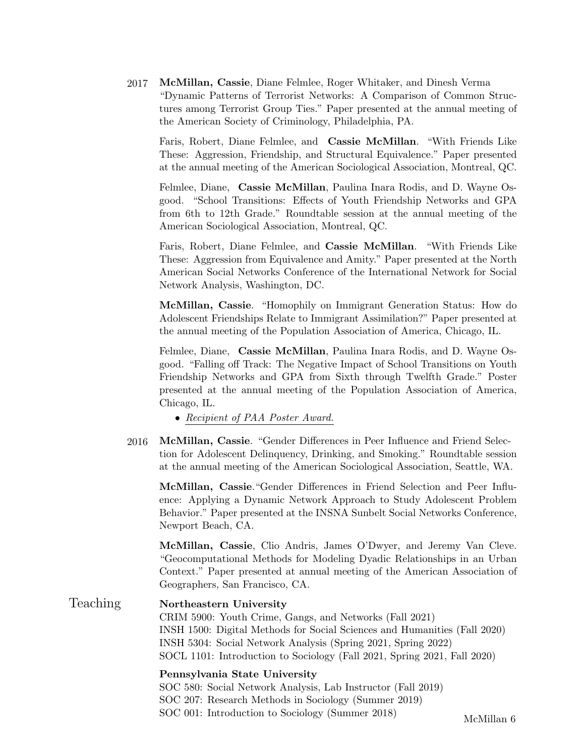2017 McMillan, Cassie, Diane Felmlee, Roger Whitaker, and Dinesh Verma "Dynamic Patterns of Terrorist Networks: A Comparison of Common Structures among Terrorist Group Ties." Paper presented at the annual meeting of the American Society of Criminology, Philadelphia, PA.

Faris, Robert, Diane Felmlee, and Cassie McMillan. "With Friends Like These: Aggression, Friendship, and Structural Equivalence." Paper presented at the annual meeting of the American Sociological Association, Montreal, QC.

Felmlee, Diane, Cassie McMillan, Paulina Inara Rodis, and D. Wayne Osgood. "School Transitions: Effects of Youth Friendship Networks and GPA from 6th to 12th Grade." Roundtable session at the annual meeting of the American Sociological Association, Montreal, QC.

Faris, Robert, Diane Felmlee, and Cassie McMillan. "With Friends Like These: Aggression from Equivalence and Amity." Paper presented at the North American Social Networks Conference of the International Network for Social Network Analysis, Washington, DC.

McMillan, Cassie. "Homophily on Immigrant Generation Status: How do Adolescent Friendships Relate to Immigrant Assimilation?" Paper presented at the annual meeting of the Population Association of America, Chicago, IL.

Felmlee, Diane, Cassie McMillan, Paulina Inara Rodis, and D. Wayne Osgood. "Falling off Track: The Negative Impact of School Transitions on Youth Friendship Networks and GPA from Sixth through Twelfth Grade." Poster presented at the annual meeting of the Population Association of America, Chicago, IL.

• Recipient of PAA Poster Award.

2016 McMillan, Cassie. "Gender Differences in Peer Influence and Friend Selection for Adolescent Delinquency, Drinking, and Smoking." Roundtable session at the annual meeting of the American Sociological Association, Seattle, WA.

McMillan, Cassie."Gender Differences in Friend Selection and Peer Influence: Applying a Dynamic Network Approach to Study Adolescent Problem Behavior." Paper presented at the INSNA Sunbelt Social Networks Conference, Newport Beach, CA.

McMillan, Cassie, Clio Andris, James O'Dwyer, and Jeremy Van Cleve. "Geocomputational Methods for Modeling Dyadic Relationships in an Urban Context." Paper presented at annual meeting of the American Association of Geographers, San Francisco, CA.

Teaching Northeastern University CRIM 5900: Youth Crime, Gangs, and Networks (Fall 2021) INSH 1500: Digital Methods for Social Sciences and Humanities (Fall 2020) INSH 5304: Social Network Analysis (Spring 2021, Spring 2022) SOCL 1101: Introduction to Sociology (Fall 2021, Spring 2021, Fall 2020) Pennsylvania State University SOC 580: Social Network Analysis, Lab Instructor (Fall 2019)

> SOC 207: Research Methods in Sociology (Summer 2019) SOC 001: Introduction to Sociology (Summer 2018) McMillan 6